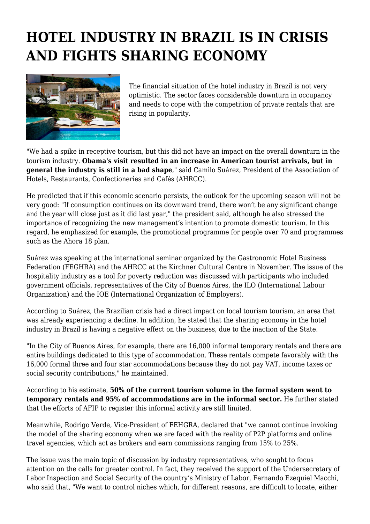## **HOTEL INDUSTRY IN BRAZIL IS IN CRISIS AND FIGHTS SHARING ECONOMY**



The financial situation of the hotel industry in Brazil is not very optimistic. The sector faces considerable downturn in occupancy and needs to cope with the competition of private rentals that are rising in popularity.

"We had a spike in receptive tourism, but this did not have an impact on the overall downturn in the tourism industry. **Obama's visit resulted in an increase in American tourist arrivals, but in general the industry is still in a bad shape**," said Camilo Suárez, President of the Association of Hotels, Restaurants, Confectioneries and Cafés (AHRCC).

He predicted that if this economic scenario persists, the outlook for the upcoming season will not be very good: "If consumption continues on its downward trend, there won't be any significant change and the year will close just as it did last year," the president said, although he also stressed the importance of recognizing the new management's intention to promote domestic tourism. In this regard, he emphasized for example, the promotional programme for people over 70 and programmes such as the Ahora 18 plan.

Suárez was speaking at the international seminar organized by the Gastronomic Hotel Business Federation (FEGHRA) and the AHRCC at the Kirchner Cultural Centre in November. The issue of the hospitality industry as a tool for poverty reduction was discussed with participants who included government officials, representatives of the City of Buenos Aires, the ILO (International Labour Organization) and the IOE (International Organization of Employers).

According to Suárez, the Brazilian crisis had a direct impact on local tourism tourism, an area that was already experiencing a decline. In addition, he stated that the sharing economy in the hotel industry in Brazil is having a negative effect on the business, due to the inaction of the State.

"In the City of Buenos Aires, for example, there are 16,000 informal temporary rentals and there are entire buildings dedicated to this type of accommodation. These rentals compete favorably with the 16,000 formal three and four star accommodations because they do not pay VAT, income taxes or social security contributions," he maintained.

According to his estimate, **50% of the current tourism volume in the formal system went to temporary rentals and 95% of accommodations are in the informal sector.** He further stated that the efforts of AFIP to register this informal activity are still limited.

Meanwhile, Rodrigo Verde, Vice-President of FEHGRA, declared that "we cannot continue invoking the model of the sharing economy when we are faced with the reality of P2P platforms and online travel agencies, which act as brokers and earn commissions ranging from 15% to 25%.

The issue was the main topic of discussion by industry representatives, who sought to focus attention on the calls for greater control. In fact, they received the support of the Undersecretary of Labor Inspection and Social Security of the country's Ministry of Labor, Fernando Ezequiel Macchi, who said that, "We want to control niches which, for different reasons, are difficult to locate, either